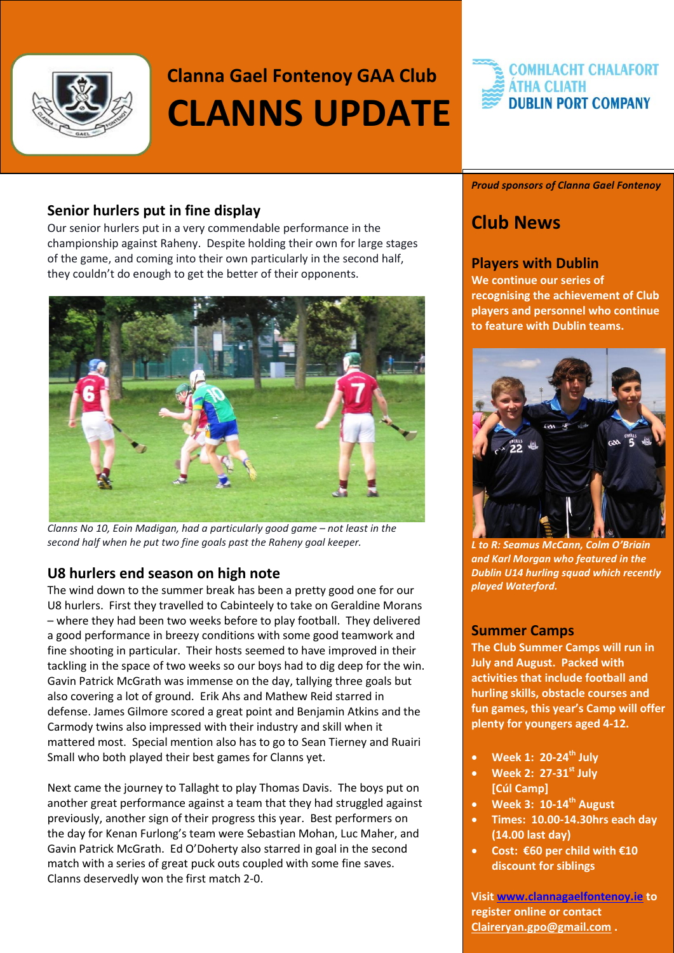

## **Clanna Gael Fontenoy GAA Club CLANNS UPDATE**

#### **COMHLACHT CHALAFORT ÁTHA CLIATH DUBLIN PORT COMPANY**

#### **Senior hurlers put in fine display**

Our senior hurlers put in a very commendable performance in the championship against Raheny. Despite holding their own for large stages of the game, and coming into their own particularly in the second half, they couldn't do enough to get the better of their opponents.



*Clanns No 10, Eoin Madigan, had a particularly good game – not least in the second half when he put two fine goals past the Raheny goal keeper.*

#### **U8 hurlers end season on high note**

The wind down to the summer break has been a pretty good one for our U8 hurlers. First they travelled to Cabinteely to take on Geraldine Morans – where they had been two weeks before to play football. They delivered a good performance in breezy conditions with some good teamwork and fine shooting in particular. Their hosts seemed to have improved in their tackling in the space of two weeks so our boys had to dig deep for the win. Gavin Patrick McGrath was immense on the day, tallying three goals but also covering a lot of ground. Erik Ahs and Mathew Reid starred in defense. James Gilmore scored a great point and Benjamin Atkins and the Carmody twins also impressed with their industry and skill when it mattered most. Special mention also has to go to Sean Tierney and Ruairi Small who both played their best games for Clanns yet.

Next came the journey to Tallaght to play Thomas Davis. The boys put on another great performance against a team that they had struggled against previously, another sign of their progress this year. Best performers on the day for Kenan Furlong's team were Sebastian Mohan, Luc Maher, and Gavin Patrick McGrath. Ed O'Doherty also starred in goal in the second match with a series of great puck outs coupled with some fine saves. Clanns deservedly won the first match 2-0.

#### *Proud sponsors of Clanna Gael Fontenoy*

### **Club News**

#### **Players with Dublin**

**We continue our series of recognising the achievement of Club players and personnel who continue to feature with Dublin teams.** 



*L to R: Seamus McCann, Colm O'Briain and Karl Morgan who featured in the Dublin U14 hurling squad which recently played Waterford.* 

#### **Summer Camps**

**The Club Summer Camps will run in July and August. Packed with activities that include football and hurling skills, obstacle courses and fun games, this year's Camp will offer plenty for youngers aged 4-12.** 

- **Week 1: 20-24th July**
- **Week 2: 27-31st July [Cúl Camp]**
- **Week 3: 10-14th August**
- **Times: 10.00-14.30hrs each day (14.00 last day)**
- **Cost: €60 per child with €10 discount for siblings**

**Visit [www.clannagaelfontenoy.ie](http://www.clannagaelfontenoy.ie/) to register online or contact [Claireryan.gpo@gmail.com](mailto:Claireryan.gpo@gmail.com) .**